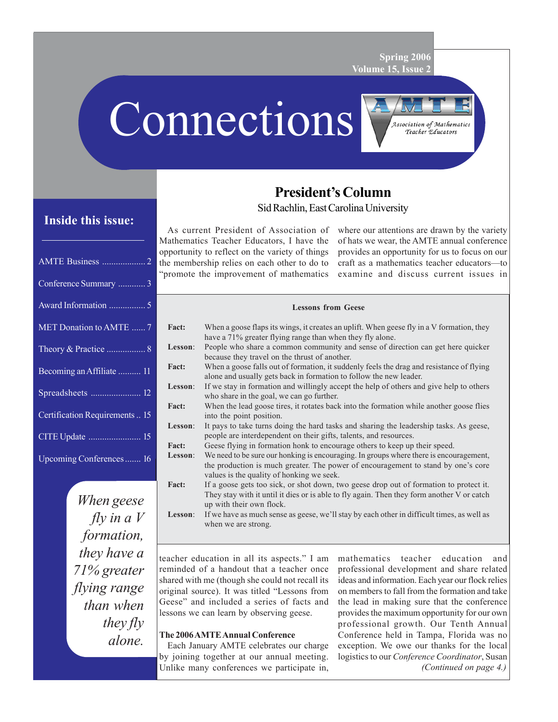**Spring 2006 Volume 15, Issue 2**

# Connections



# **Inside this issue:**

| Conference Summary  3          |
|--------------------------------|
|                                |
| MET Donation to AMTE  7        |
|                                |
| Becoming an Affiliate  11      |
|                                |
| Certification Requirements  15 |
|                                |
| Upcoming Conferences 16        |

*When geese fly in a V formation, they have a 71% greater flying range than when they fly alone.*

# **President's Column**

Sid Rachlin, East Carolina University

As current President of Association of Mathematics Teacher Educators, I have the opportunity to reflect on the variety of things the membership relies on each other to do to "promote the improvement of mathematics

where our attentions are drawn by the variety of hats we wear, the AMTE annual conference provides an opportunity for us to focus on our craft as a mathematics teacher educators—to examine and discuss current issues in

#### **Lessons from Geese**

| <b>Fact:</b> | When a goose flaps its wings, it creates an uplift. When geese fly in a V formation, they                                                                                                                                |  |  |  |  |
|--------------|--------------------------------------------------------------------------------------------------------------------------------------------------------------------------------------------------------------------------|--|--|--|--|
|              | have a 71% greater flying range than when they fly alone.                                                                                                                                                                |  |  |  |  |
| Lesson:      | People who share a common community and sense of direction can get here quicker<br>because they travel on the thrust of another.                                                                                         |  |  |  |  |
| <b>Fact:</b> | When a goose falls out of formation, it suddenly feels the drag and resistance of flying<br>alone and usually gets back in formation to follow the new leader.                                                           |  |  |  |  |
| Lesson:      | If we stay in formation and willingly accept the help of others and give help to others<br>who share in the goal, we can go further.                                                                                     |  |  |  |  |
| <b>Fact:</b> | When the lead goose tires, it rotates back into the formation while another goose flies<br>into the point position.                                                                                                      |  |  |  |  |
| Lesson:      | It pays to take turns doing the hard tasks and sharing the leadership tasks. As geese,<br>people are interdependent on their gifts, talents, and resources.                                                              |  |  |  |  |
| <b>Fact:</b> | Geese flying in formation honk to encourage others to keep up their speed.                                                                                                                                               |  |  |  |  |
| Lesson:      | We need to be sure our honking is encouraging. In groups where there is encouragement,<br>the production is much greater. The power of encouragement to stand by one's core<br>values is the quality of honking we seek. |  |  |  |  |
| <b>Fact:</b> | If a goose gets too sick, or shot down, two geese drop out of formation to protect it.<br>They stay with it until it dies or is able to fly again. Then they form another V or catch<br>up with their own flock.         |  |  |  |  |
| Lesson:      | If we have as much sense as geese, we'll stay by each other in difficult times, as well as<br>when we are strong.                                                                                                        |  |  |  |  |

teacher education in all its aspects." I am reminded of a handout that a teacher once shared with me (though she could not recall its original source). It was titled "Lessons from Geese" and included a series of facts and lessons we can learn by observing geese.

#### **The 2006 AMTE Annual Conference**

Each January AMTE celebrates our charge by joining together at our annual meeting. Unlike many conferences we participate in,

*(Continued on page 4.)* mathematics teacher education and professional development and share related ideas and information. Each year our flock relies on members to fall from the formation and take the lead in making sure that the conference provides the maximum opportunity for our own professional growth. Our Tenth Annual Conference held in Tampa, Florida was no exception. We owe our thanks for the local logistics to our *Conference Coordinator*, Susan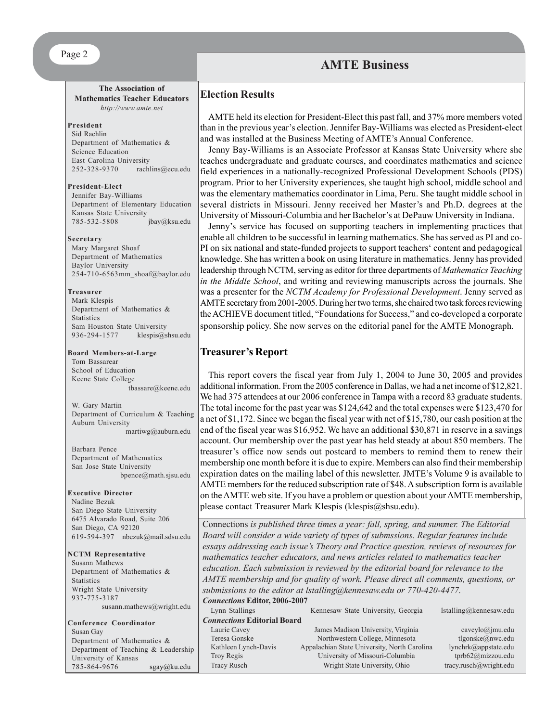#### Page 2

## **AMTE Business**

#### **The Association of Mathematics Teacher Educators** *http://www.amte.net*

#### **President**

Sid Rachlin Department of Mathematics & Science Education East Carolina University 252-328-9370 rachlins@ecu.edu

#### **President-Elect**

Jennifer Bay-Williams Department of Elementary Education Kansas State University 785-532-5808 jbay@ksu.edu

#### **Secretary**

Mary Margaret Shoaf Department of Mathematics Baylor University 254-710-6563mm\_shoaf@baylor.edu

#### **Treasurer**

Mark Klespis Department of Mathematics & **Statistics** Sam Houston State University 936-294-1577 klespis@shsu.edu

#### **Board Members-at-Large**

Tom Bassarear School of Education Keene State College tbassare@keene.edu

W. Gary Martin Department of Curriculum & Teaching Auburn University martiwg@auburn.edu

Barbara Pence Department of Mathematics San Jose State University bpence@math.sjsu.edu

#### **Executive Director**

Nadine Bezuk San Diego State University 6475 Alvarado Road, Suite 206 San Diego, CA 92120 619-594-397 nbezuk@mail.sdsu.edu

**NCTM Representative** Susann Mathews Department of Mathematics & **Statistics** Wright State University 937-775-3187

**Conference Coordinator** Susan Gay Department of Mathematics & Department of Teaching & Leadership University of Kansas 785-864-9676 sgay@ku.edu

susann.mathews@wright.edu

#### **Election Results**

AMTE held its election for President-Elect this past fall, and 37% more members voted than in the previous year's election. Jennifer Bay-Williams was elected as President-elect and was installed at the Business Meeting of AMTE's Annual Conference.

Jenny Bay-Williams is an Associate Professor at Kansas State University where she teaches undergraduate and graduate courses, and coordinates mathematics and science field experiences in a nationally-recognized Professional Development Schools (PDS) program. Prior to her University experiences, she taught high school, middle school and was the elementary mathematics coordinator in Lima, Peru. She taught middle school in several districts in Missouri. Jenny received her Master's and Ph.D. degrees at the University of Missouri-Columbia and her Bachelor's at DePauw University in Indiana.

Jenny's service has focused on supporting teachers in implementing practices that enable all children to be successful in learning mathematics. She has served as PI and co-PI on six national and state-funded projects to support teachers' content and pedagogical knowledge. She has written a book on using literature in mathematics. Jenny has provided leadership through NCTM, serving as editor for three departments of *Mathematics Teaching in the Middle School*, and writing and reviewing manuscripts across the journals. She was a presenter for the *NCTM Academy for Professional Development*. Jenny served as AMTE secretary from 2001-2005. During her two terms, she chaired two task forces reviewing the ACHIEVE document titled, "Foundations for Success," and co-developed a corporate sponsorship policy. She now serves on the editorial panel for the AMTE Monograph.

#### **Treasurer's Report**

This report covers the fiscal year from July 1, 2004 to June 30, 2005 and provides additional information. From the 2005 conference in Dallas, we had a net income of \$12,821. We had 375 attendees at our 2006 conference in Tampa with a record 83 graduate students. The total income for the past year was \$124,642 and the total expenses were \$123,470 for a net of \$1,172. Since we began the fiscal year with net of \$15,780, our cash position at the end of the fiscal year was \$16,952. We have an additional \$30,871 in reserve in a savings account. Our membership over the past year has held steady at about 850 members. The treasurer's office now sends out postcard to members to remind them to renew their membership one month before it is due to expire. Members can also find their membership expiration dates on the mailing label of this newsletter. JMTE's Volume 9 is available to AMTE members for the reduced subscription rate of \$48. A subscription form is available on the AMTE web site. If you have a problem or question about your AMTE membership, please contact Treasurer Mark Klespis (klespis@shsu.edu).

Connections *is published three times a year: fall, spring, and summer. The Editorial Board will consider a wide variety of types of submssions. Regular features include essays addressing each issue's Theory and Practice question, reviews of resources for mathematics teacher educators, and news articles related to mathematics teacher education. Each submission is reviewed by the editorial board for relevance to the AMTE membership and for quality of work. Please direct all comments, questions, or submissions to the editor at lstalling@kennesaw.edu or 770-420-4477. Connections* **Editor, 2006-2007**

| Lynn Stallings                     | Kennesaw State University, Georgia           | $İstalling@$ kennesaw.edu |
|------------------------------------|----------------------------------------------|---------------------------|
| <b>Connections Editorial Board</b> |                                              |                           |
| Laurie Cavey                       | James Madison University, Virginia           | caveylo@jmu.edu           |
| Teresa Gonske                      | Northwestern College, Minnesota              | tlgonske@nwc.edu          |
| Kathleen Lynch-Davis               | Appalachian State University, North Carolina | lynchrk@appstate.edu      |
| Troy Regis                         | University of Missouri-Columbia              | tprb62@mizzou.edu         |
| <b>Tracy Rusch</b>                 | Wright State University, Ohio                | tracy.rusch@wright.edu    |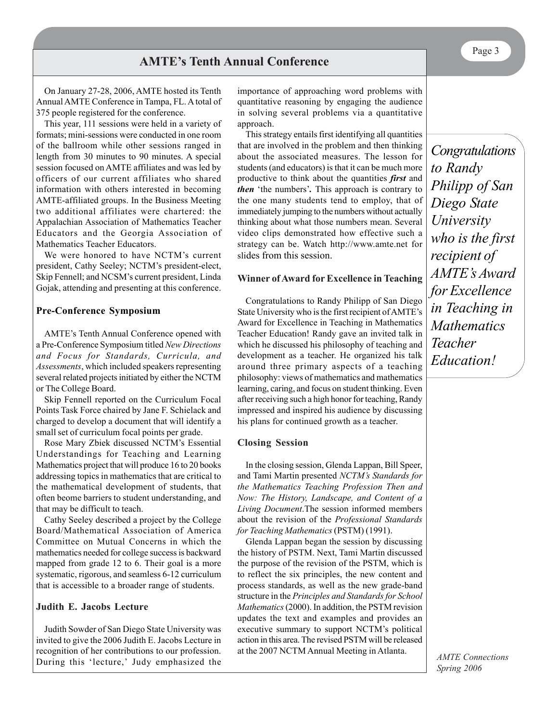On January 27-28, 2006, AMTE hosted its Tenth Annual AMTE Conference in Tampa, FL. A total of 375 people registered for the conference.

This year, 111 sessions were held in a variety of formats; mini-sessions were conducted in one room of the ballroom while other sessions ranged in length from 30 minutes to 90 minutes. A special session focused on AMTE affiliates and was led by officers of our current affiliates who shared information with others interested in becoming AMTE-affiliated groups. In the Business Meeting two additional affiliates were chartered: the Appalachian Association of Mathematics Teacher Educators and the Georgia Association of Mathematics Teacher Educators.

We were honored to have NCTM's current president, Cathy Seeley; NCTM's president-elect, Skip Fennell; and NCSM's current president, Linda Gojak, attending and presenting at this conference.

#### **Pre-Conference Symposium**

AMTE's Tenth Annual Conference opened with a Pre-Conference Symposium titled *New Directions and Focus for Standards, Curricula, and Assessments*, which included speakers representing several related projects initiated by either the NCTM or The College Board.

Skip Fennell reported on the Curriculum Focal Points Task Force chaired by Jane F. Schielack and charged to develop a document that will identify a small set of curriculum focal points per grade.

Rose Mary Zbiek discussed NCTM's Essential Understandings for Teaching and Learning Mathematics project that will produce 16 to 20 books addressing topics in mathematics that are critical to the mathematical development of students, that often beome barriers to student understanding, and that may be difficult to teach.

Cathy Seeley described a project by the College Board/Mathematical Association of America Committee on Mutual Concerns in which the mathematics needed for college success is backward mapped from grade 12 to 6. Their goal is a more systematic, rigorous, and seamless 6-12 curriculum that is accessible to a broader range of students.

#### **Judith E. Jacobs Lecture**

Judith Sowder of San Diego State University was invited to give the 2006 Judith E. Jacobs Lecture in recognition of her contributions to our profession. During this 'lecture,' Judy emphasized the

importance of approaching word problems with quantitative reasoning by engaging the audience in solving several problems via a quantitative approach.

This strategy entails first identifying all quantities that are involved in the problem and then thinking about the associated measures. The lesson for students (and educators) is that it can be much more productive to think about the quantities *first* and *then* 'the numbers'*.* This approach is contrary to the one many students tend to employ, that of immediately jumping to the numbers without actually thinking about what those numbers mean. Several video clips demonstrated how effective such a strategy can be. Watch http://www.amte.net for slides from this session.

#### **Winner of Award for Excellence in Teaching**

Congratulations to Randy Philipp of San Diego State University who is the first recipient of AMTE's Award for Excellence in Teaching in Mathematics Teacher Education! Randy gave an invited talk in which he discussed his philosophy of teaching and development as a teacher. He organized his talk around three primary aspects of a teaching philosophy: views of mathematics and mathematics learning, caring, and focus on student thinking. Even after receiving such a high honor for teaching, Randy impressed and inspired his audience by discussing his plans for continued growth as a teacher.

#### **Closing Session**

In the closing session, Glenda Lappan, Bill Speer, and Tami Martin presented *NCTM's Standards for the Mathematics Teaching Profession Then and Now: The History, Landscape, and Content of a Living Document*.The session informed members about the revision of the *Professional Standards for Teaching Mathematics* (PSTM) (1991).

Glenda Lappan began the session by discussing the history of PSTM. Next, Tami Martin discussed the purpose of the revision of the PSTM, which is to reflect the six principles, the new content and process standards, as well as the new grade-band structure in the *Principles and Standards for School Mathematics* (2000). In addition, the PSTM revision updates the text and examples and provides an executive summary to support NCTM's political action in this area. The revised PSTM will be released at the 2007 NCTM Annual Meeting in Atlanta.

*Congratulations to Randy Philipp of San Diego State University who is the first recipient of AMTE's Award for Excellence in Teaching in Mathematics Teacher Education!*

Page 3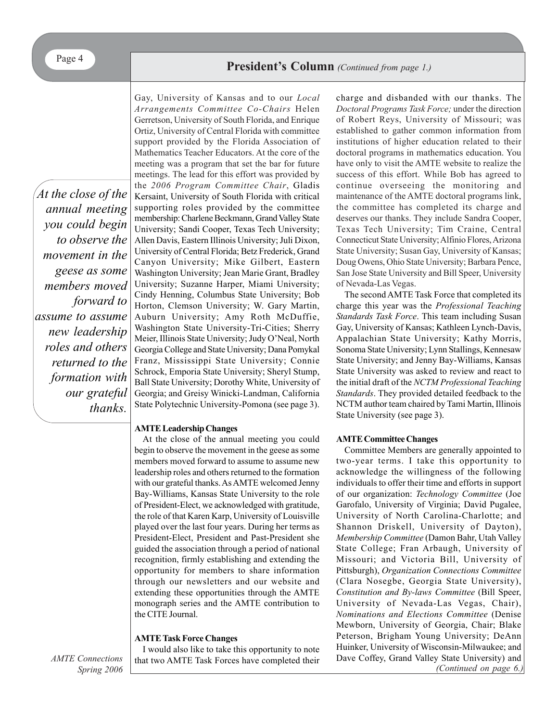*At the close of the annual meeting you could begin to observe the movement in the geese as some members moved forward to assume to assume new leadership roles and others returned to the formation with our grateful thanks.*

Gay, University of Kansas and to our *Local Arrangements Committee Co-Chairs* Helen Gerretson, University of South Florida, and Enrique Ortiz, University of Central Florida with committee support provided by the Florida Association of Mathematics Teacher Educators. At the core of the meeting was a program that set the bar for future meetings. The lead for this effort was provided by the *2006 Program Committee Chair*, Gladis Kersaint, University of South Florida with critical supporting roles provided by the committee membership: Charlene Beckmann, Grand Valley State University; Sandi Cooper, Texas Tech University; Allen Davis, Eastern Illinois University; Juli Dixon, University of Central Florida; Betz Frederick, Grand Canyon University; Mike Gilbert, Eastern Washington University; Jean Marie Grant, Bradley University; Suzanne Harper, Miami University; Cindy Henning, Columbus State University; Bob Horton, Clemson University; W. Gary Martin, Auburn University; Amy Roth McDuffie, Washington State University-Tri-Cities; Sherry Meier, Illinois State University; Judy O'Neal, North Georgia College and State University; Dana Pomykal Franz, Mississippi State University; Connie Schrock, Emporia State University; Sheryl Stump, Ball State University; Dorothy White, University of Georgia; and Greisy Winicki-Landman, California State Polytechnic University-Pomona (see page 3).

#### **AMTE Leadership Changes**

At the close of the annual meeting you could begin to observe the movement in the geese as some members moved forward to assume to assume new leadership roles and others returned to the formation with our grateful thanks. As AMTE welcomed Jenny Bay-Williams, Kansas State University to the role of President-Elect, we acknowledged with gratitude, the role of that Karen Karp, University of Louisville played over the last four years. During her terms as President-Elect, President and Past-President she guided the association through a period of national recognition, firmly establishing and extending the opportunity for members to share information through our newsletters and our website and extending these opportunities through the AMTE monograph series and the AMTE contribution to the CITE Journal.

#### **AMTE Task Force Changes**

I would also like to take this opportunity to note that two AMTE Task Forces have completed their charge and disbanded with our thanks. The *Doctoral Programs Task Force;* under the direction of Robert Reys, University of Missouri; was established to gather common information from institutions of higher education related to their doctoral programs in mathematics education. You have only to visit the AMTE website to realize the success of this effort. While Bob has agreed to continue overseeing the monitoring and maintenance of the AMTE doctoral programs link, the committee has completed its charge and deserves our thanks. They include Sandra Cooper, Texas Tech University; Tim Craine, Central Connecticut State University; Alfinio Flores, Arizona State University; Susan Gay, University of Kansas; Doug Owens, Ohio State University; Barbara Pence, San Jose State University and Bill Speer, University of Nevada-Las Vegas.

The second AMTE Task Force that completed its charge this year was the *Professional Teaching Standards Task Force*. This team including Susan Gay, University of Kansas; Kathleen Lynch-Davis, Appalachian State University; Kathy Morris, Sonoma State University; Lynn Stallings, Kennesaw State University; and Jenny Bay-Williams, Kansas State University was asked to review and react to the initial draft of the *NCTM Professional Teaching Standards*. They provided detailed feedback to the NCTM author team chaired by Tami Martin, Illinois State University (see page 3).

#### **AMTE Committee Changes**

Committee Members are generally appointed to two-year terms. I take this opportunity to acknowledge the willingness of the following individuals to offer their time and efforts in support of our organization: *Technology Committee* (Joe Garofalo, University of Virginia; David Pugalee, University of North Carolina-Charlotte; and Shannon Driskell, University of Dayton), *Membership Committee* (Damon Bahr, Utah Valley State College; Fran Arbaugh, University of Missouri; and Victoria Bill, University of Pittsburgh), *Organization Connections Committee* (Clara Nosegbe, Georgia State University), *Constitution and By-laws Committee* (Bill Speer, University of Nevada-Las Vegas, Chair), *Nominations and Elections Committee* (Denise Mewborn, University of Georgia, Chair; Blake Peterson, Brigham Young University; DeAnn Huinker, University of Wisconsin-Milwaukee; and Dave Coffey, Grand Valley State University) and *(Continued on page 6.)*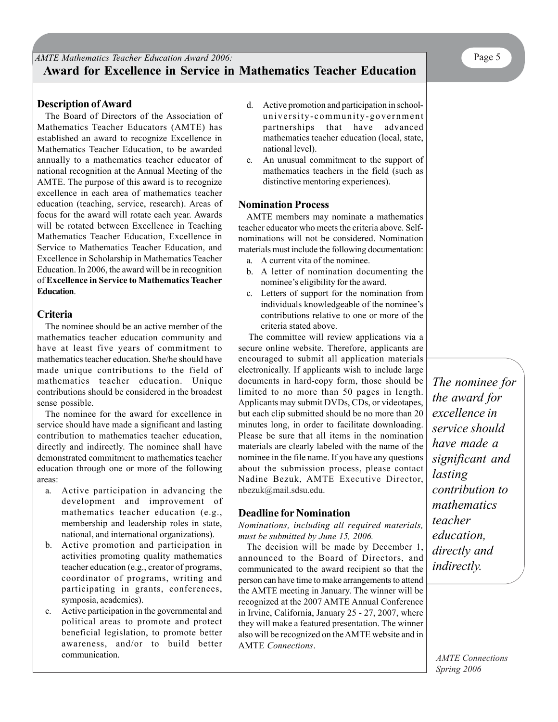The Board of Directors of the Association of Mathematics Teacher Educators (AMTE) has established an award to recognize Excellence in Mathematics Teacher Education, to be awarded annually to a mathematics teacher educator of national recognition at the Annual Meeting of the AMTE. The purpose of this award is to recognize excellence in each area of mathematics teacher education (teaching, service, research). Areas of focus for the award will rotate each year. Awards will be rotated between Excellence in Teaching Mathematics Teacher Education, Excellence in Service to Mathematics Teacher Education, and Excellence in Scholarship in Mathematics Teacher Education. In 2006, the award will be in recognition of **Excellence in Service to Mathematics Teacher Education**.

## **Criteria**

The nominee should be an active member of the mathematics teacher education community and have at least five years of commitment to mathematics teacher education. She/he should have made unique contributions to the field of mathematics teacher education. Unique contributions should be considered in the broadest sense possible.

The nominee for the award for excellence in service should have made a significant and lasting contribution to mathematics teacher education, directly and indirectly. The nominee shall have demonstrated commitment to mathematics teacher education through one or more of the following areas:

- a. Active participation in advancing the development and improvement of mathematics teacher education (e.g., membership and leadership roles in state, national, and international organizations).
- b. Active promotion and participation in activities promoting quality mathematics teacher education (e.g., creator of programs, coordinator of programs, writing and participating in grants, conferences, symposia, academies).
- c. Active participation in the governmental and political areas to promote and protect beneficial legislation, to promote better awareness, and/or to build better communication.
- d. Active promotion and participation in schooluniversity-community-government partnerships that have advanced mathematics teacher education (local, state, national level).
- e. An unusual commitment to the support of mathematics teachers in the field (such as distinctive mentoring experiences).

#### **Nomination Process**

AMTE members may nominate a mathematics teacher educator who meets the criteria above. Selfnominations will not be considered. Nomination materials must include the following documentation:

- a. A current vita of the nominee.
- b. A letter of nomination documenting the nominee's eligibility for the award.
- c. Letters of support for the nomination from individuals knowledgeable of the nominee's contributions relative to one or more of the criteria stated above.

The committee will review applications via a secure online website. Therefore, applicants are encouraged to submit all application materials electronically. If applicants wish to include large documents in hard-copy form, those should be limited to no more than 50 pages in length. Applicants may submit DVDs, CDs, or videotapes, but each clip submitted should be no more than 20 minutes long, in order to facilitate downloading. Please be sure that all items in the nomination materials are clearly labeled with the name of the nominee in the file name. If you have any questions about the submission process, please contact Nadine Bezuk, AMTE Executive Director, nbezuk@mail.sdsu.edu.

#### **Deadline for Nomination**

*Nominations, including all required materials, must be submitted by June 15, 2006.*

The decision will be made by December 1, announced to the Board of Directors, and communicated to the award recipient so that the person can have time to make arrangements to attend the AMTE meeting in January. The winner will be recognized at the 2007 AMTE Annual Conference in Irvine, California, January 25 - 27, 2007, where they will make a featured presentation. The winner also will be recognized on the AMTE website and in AMTE *Connections*.

*The nominee for the award for excellence in service should have made a significant and lasting contribution to mathematics teacher education, directly and indirectly.*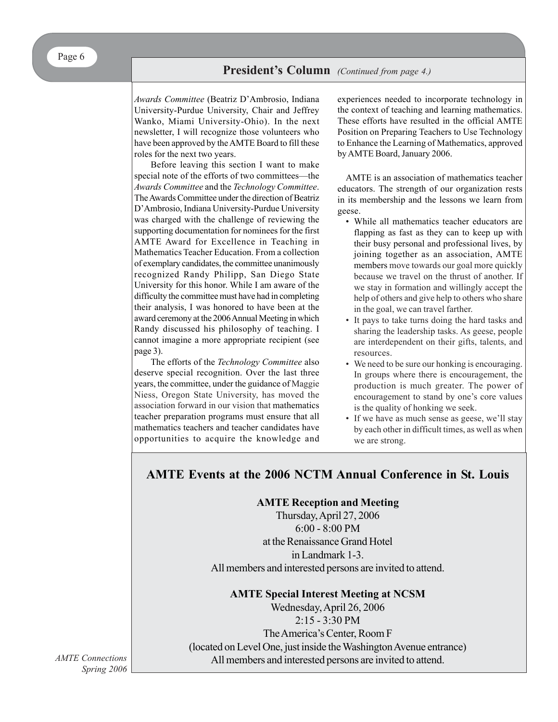*Awards Committee* (Beatriz D'Ambrosio, Indiana University-Purdue University, Chair and Jeffrey Wanko, Miami University-Ohio). In the next newsletter, I will recognize those volunteers who have been approved by the AMTE Board to fill these roles for the next two years.

Before leaving this section I want to make special note of the efforts of two committees—the *Awards Committee* and the *Technology Committee*. The Awards Committee under the direction of Beatriz D'Ambrosio, Indiana University-Purdue University was charged with the challenge of reviewing the supporting documentation for nominees for the first AMTE Award for Excellence in Teaching in Mathematics Teacher Education. From a collection of exemplary candidates, the committee unanimously recognized Randy Philipp, San Diego State University for this honor. While I am aware of the difficulty the committee must have had in completing their analysis, I was honored to have been at the award ceremony at the 2006 Annual Meeting in which Randy discussed his philosophy of teaching. I cannot imagine a more appropriate recipient (see page 3).

The efforts of the *Technology Committee* also deserve special recognition. Over the last three years, the committee, under the guidance of Maggie Niess, Oregon State University, has moved the association forward in our vision that mathematics teacher preparation programs must ensure that all mathematics teachers and teacher candidates have opportunities to acquire the knowledge and experiences needed to incorporate technology in the context of teaching and learning mathematics. These efforts have resulted in the official AMTE Position on Preparing Teachers to Use Technology to Enhance the Learning of Mathematics, approved by AMTE Board, January 2006.

AMTE is an association of mathematics teacher educators. The strength of our organization rests in its membership and the lessons we learn from geese.

- While all mathematics teacher educators are flapping as fast as they can to keep up with their busy personal and professional lives, by joining together as an association, AMTE members move towards our goal more quickly because we travel on the thrust of another. If we stay in formation and willingly accept the help of others and give help to others who share in the goal, we can travel farther.
- It pays to take turns doing the hard tasks and sharing the leadership tasks. As geese, people are interdependent on their gifts, talents, and resources.
- We need to be sure our honking is encouraging. In groups where there is encouragement, the production is much greater. The power of encouragement to stand by one's core values is the quality of honking we seek.
- If we have as much sense as geese, we'll stay by each other in difficult times, as well as when we are strong.

# **AMTE Events at the 2006 NCTM Annual Conference in St. Louis**

**AMTE Reception and Meeting**

Thursday, April 27, 2006 6:00 - 8:00 PM at the Renaissance Grand Hotel in Landmark 1-3. All members and interested persons are invited to attend.

**AMTE Special Interest Meeting at NCSM**

Wednesday, April 26, 2006 2:15 - 3:30 PM The America's Center, Room F (located on Level One, just inside the Washington Avenue entrance) All members and interested persons are invited to attend.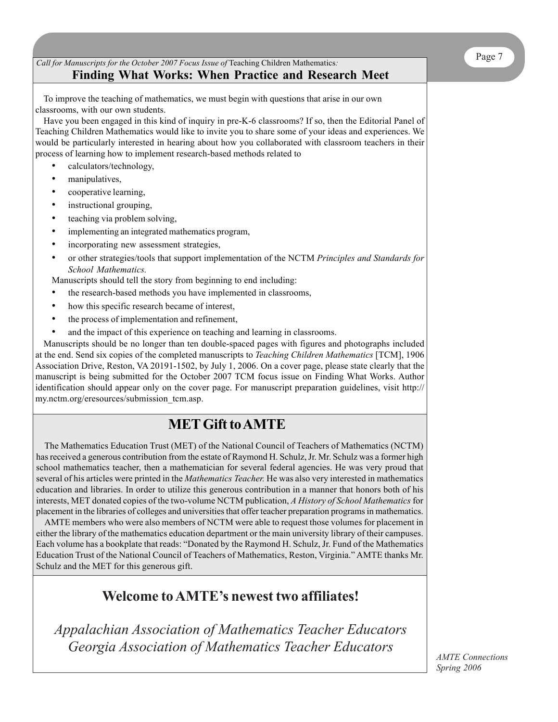## *Call for Manuscripts for the October 2007 Focus Issue of* Teaching Children Mathematics*:* **Finding What Works: When Practice and Research Meet**

To improve the teaching of mathematics, we must begin with questions that arise in our own classrooms, with our own students.

Have you been engaged in this kind of inquiry in pre-K-6 classrooms? If so, then the Editorial Panel of Teaching Children Mathematics would like to invite you to share some of your ideas and experiences. We would be particularly interested in hearing about how you collaborated with classroom teachers in their process of learning how to implement research-based methods related to

- calculators/technology,
- manipulatives,
- cooperative learning,
- instructional grouping,
- teaching via problem solving,
- implementing an integrated mathematics program,
- incorporating new assessment strategies,
- or other strategies/tools that support implementation of the NCTM *Principles and Standards for School Mathematics.*

Manuscripts should tell the story from beginning to end including:

- the research-based methods you have implemented in classrooms,
- how this specific research became of interest,
- the process of implementation and refinement,
- and the impact of this experience on teaching and learning in classrooms.

Manuscripts should be no longer than ten double-spaced pages with figures and photographs included at the end. Send six copies of the completed manuscripts to *Teaching Children Mathematics* [TCM], 1906 Association Drive, Reston, VA 20191-1502, by July 1, 2006. On a cover page, please state clearly that the manuscript is being submitted for the October 2007 TCM focus issue on Finding What Works. Author identification should appear only on the cover page. For manuscript preparation guidelines, visit http:// my.nctm.org/eresources/submission\_tcm.asp.

# **MET Gift to AMTE**

The Mathematics Education Trust (MET) of the National Council of Teachers of Mathematics (NCTM) has received a generous contribution from the estate of Raymond H. Schulz, Jr. Mr. Schulz was a former high school mathematics teacher, then a mathematician for several federal agencies. He was very proud that several of his articles were printed in the *Mathematics Teacher.* He was also very interested in mathematics education and libraries. In order to utilize this generous contribution in a manner that honors both of his interests, MET donated copies of the two-volume NCTM publication, *A History of School Mathematics* for placement in the libraries of colleges and universities that offer teacher preparation programs in mathematics.

AMTE members who were also members of NCTM were able to request those volumes for placement in either the library of the mathematics education department or the main university library of their campuses. Each volume has a bookplate that reads: "Donated by the Raymond H. Schulz, Jr. Fund of the Mathematics Education Trust of the National Council of Teachers of Mathematics, Reston, Virginia." AMTE thanks Mr. Schulz and the MET for this generous gift.

# **Welcome to AMTE's newest two affiliates!**

*Appalachian Association of Mathematics Teacher Educators Georgia Association of Mathematics Teacher Educators*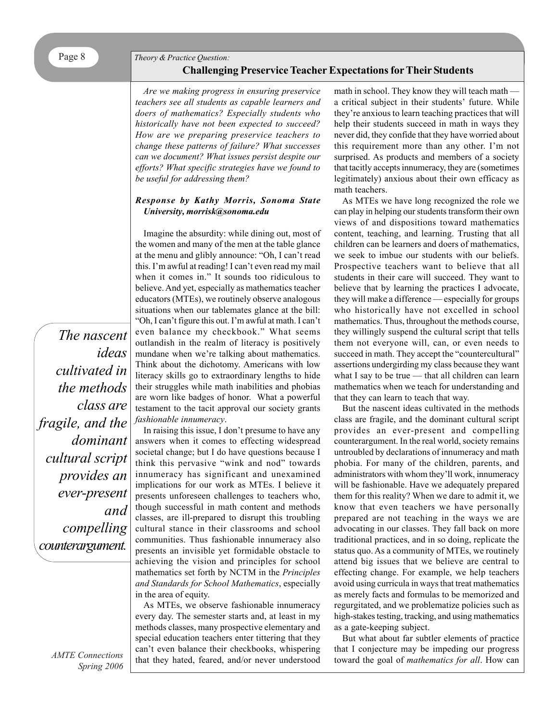# **Challenging Preservice Teacher Expectations for Their Students**

*Are we making progress in ensuring preservice teachers see all students as capable learners and doers of mathematics? Especially students who historically have not been expected to succeed? How are we preparing preservice teachers to change these patterns of failure? What successes can we document? What issues persist despite our efforts? What specific strategies have we found to be useful for addressing them?*

#### *Response by Kathy Morris, Sonoma State University, morrisk@sonoma.edu*

Imagine the absurdity: while dining out, most of the women and many of the men at the table glance at the menu and glibly announce: "Oh, I can't read this. I'm awful at reading! I can't even read my mail when it comes in." It sounds too ridiculous to believe. And yet, especially as mathematics teacher educators (MTEs), we routinely observe analogous situations when our tablemates glance at the bill: "Oh, I can't figure this out. I'm awful at math. I can't even balance my checkbook." What seems outlandish in the realm of literacy is positively mundane when we're talking about mathematics. Think about the dichotomy. Americans with low literacy skills go to extraordinary lengths to hide their struggles while math inabilities and phobias are worn like badges of honor. What a powerful testament to the tacit approval our society grants *fashionable innumeracy*.

In raising this issue, I don't presume to have any answers when it comes to effecting widespread societal change; but I do have questions because I think this pervasive "wink and nod" towards innumeracy has significant and unexamined implications for our work as MTEs. I believe it presents unforeseen challenges to teachers who, though successful in math content and methods classes, are ill-prepared to disrupt this troubling cultural stance in their classrooms and school communities. Thus fashionable innumeracy also presents an invisible yet formidable obstacle to achieving the vision and principles for school mathematics set forth by NCTM in the *Principles and Standards for School Mathematics*, especially in the area of equity.

As MTEs, we observe fashionable innumeracy every day. The semester starts and, at least in my methods classes, many prospective elementary and special education teachers enter tittering that they can't even balance their checkbooks, whispering that they hated, feared, and/or never understood math in school. They know they will teach math a critical subject in their students' future. While they're anxious to learn teaching practices that will help their students succeed in math in ways they never did, they confide that they have worried about this requirement more than any other. I'm not surprised. As products and members of a society that tacitly accepts innumeracy, they are (sometimes legitimately) anxious about their own efficacy as math teachers.

As MTEs we have long recognized the role we can play in helping our students transform their own views of and dispositions toward mathematics content, teaching, and learning. Trusting that all children can be learners and doers of mathematics, we seek to imbue our students with our beliefs. Prospective teachers want to believe that all students in their care will succeed. They want to believe that by learning the practices I advocate, they will make a difference — especially for groups who historically have not excelled in school mathematics. Thus, throughout the methods course, they willingly suspend the cultural script that tells them not everyone will, can, or even needs to succeed in math. They accept the "countercultural" assertions undergirding my class because they want what I say to be true — that all children can learn mathematics when we teach for understanding and that they can learn to teach that way.

But the nascent ideas cultivated in the methods class are fragile, and the dominant cultural script provides an ever-present and compelling counterargument. In the real world, society remains untroubled by declarations of innumeracy and math phobia. For many of the children, parents, and administrators with whom they'll work, innumeracy will be fashionable. Have we adequately prepared them for this reality? When we dare to admit it, we know that even teachers we have personally prepared are not teaching in the ways we are advocating in our classes. They fall back on more traditional practices, and in so doing, replicate the status quo. As a community of MTEs, we routinely attend big issues that we believe are central to effecting change. For example, we help teachers avoid using curricula in ways that treat mathematics as merely facts and formulas to be memorized and regurgitated, and we problematize policies such as high-stakes testing, tracking, and using mathematics as a gate-keeping subject.

But what about far subtler elements of practice that I conjecture may be impeding our progress toward the goal of *mathematics for all*. How can

*ideas cultivated in the methods class are fragile, and the dominant cultural script provides an ever-present and compelling counterargument.*

*The nascent*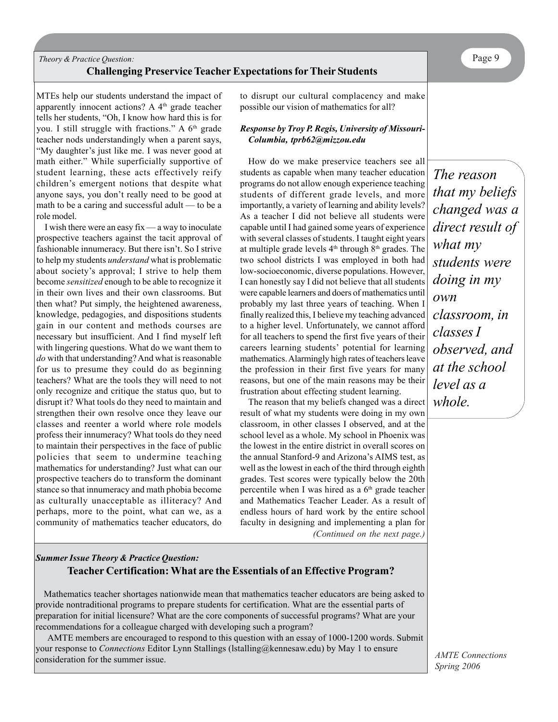## *Theory & Practice Question:* **Challenging Preservice Teacher Expectations for Their Students**

MTEs help our students understand the impact of apparently innocent actions? A  $4<sup>th</sup>$  grade teacher tells her students, "Oh, I know how hard this is for you. I still struggle with fractions." A  $6<sup>th</sup>$  grade teacher nods understandingly when a parent says, "My daughter's just like me. I was never good at math either." While superficially supportive of student learning, these acts effectively reify children's emergent notions that despite what anyone says, you don't really need to be good at math to be a caring and successful adult — to be a role model.

I wish there were an easy fix — a way to inoculate prospective teachers against the tacit approval of fashionable innumeracy. But there isn't. So I strive to help my students *understand* what is problematic about society's approval; I strive to help them become *sensitized* enough to be able to recognize it in their own lives and their own classrooms. But then what? Put simply, the heightened awareness, knowledge, pedagogies, and dispositions students gain in our content and methods courses are necessary but insufficient. And I find myself left with lingering questions. What do we want them to *do* with that understanding? And what is reasonable for us to presume they could do as beginning teachers? What are the tools they will need to not only recognize and critique the status quo, but to disrupt it? What tools do they need to maintain and strengthen their own resolve once they leave our classes and reenter a world where role models profess their innumeracy? What tools do they need to maintain their perspectives in the face of public policies that seem to undermine teaching mathematics for understanding? Just what can our prospective teachers do to transform the dominant stance so that innumeracy and math phobia become as culturally unacceptable as illiteracy? And perhaps, more to the point, what can we, as a community of mathematics teacher educators, do

to disrupt our cultural complacency and make possible our vision of mathematics for all?

#### *Response by Troy P. Regis, University of Missouri-Columbia, tprb62@mizzou.edu*

How do we make preservice teachers see all students as capable when many teacher education programs do not allow enough experience teaching students of different grade levels, and more importantly, a variety of learning and ability levels? As a teacher I did not believe all students were capable until I had gained some years of experience with several classes of students. I taught eight years at multiple grade levels  $4<sup>th</sup>$  through  $8<sup>th</sup>$  grades. The two school districts I was employed in both had low-socioeconomic, diverse populations. However, I can honestly say I did not believe that all students were capable learners and doers of mathematics until probably my last three years of teaching. When I finally realized this, I believe my teaching advanced to a higher level. Unfortunately, we cannot afford for all teachers to spend the first five years of their careers learning students' potential for learning mathematics. Alarmingly high rates of teachers leave the profession in their first five years for many reasons, but one of the main reasons may be their frustration about effecting student learning.

*(Continued on the next page.)* The reason that my beliefs changed was a direct result of what my students were doing in my own classroom, in other classes I observed, and at the school level as a whole. My school in Phoenix was the lowest in the entire district in overall scores on the annual Stanford-9 and Arizona's AIMS test, as well as the lowest in each of the third through eighth grades. Test scores were typically below the 20th percentile when I was hired as a  $6<sup>th</sup>$  grade teacher and Mathematics Teacher Leader. As a result of endless hours of hard work by the entire school faculty in designing and implementing a plan for

## *Summer Issue Theory & Practice Question:* **Teacher Certification: What are the Essentials of an Effective Program?**

Mathematics teacher shortages nationwide mean that mathematics teacher educators are being asked to provide nontraditional programs to prepare students for certification. What are the essential parts of preparation for initial licensure? What are the core components of successful programs? What are your recommendations for a colleague charged with developing such a program?

AMTE members are encouraged to respond to this question with an essay of 1000-1200 words. Submit your response to *Connections* Editor Lynn Stallings (lstalling@kennesaw.edu) by May 1 to ensure consideration for the summer issue.

*The reason that my beliefs changed was a direct result of what my students were doing in my own classroom, in classes I observed, and at the school level as a whole.*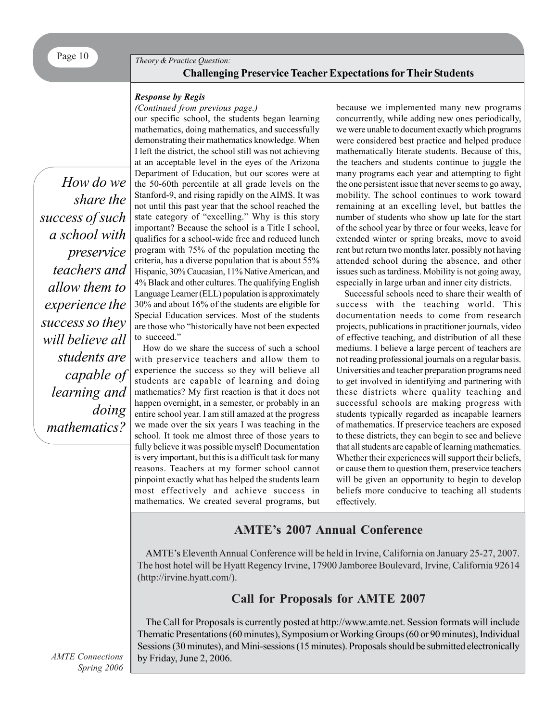# Page 10 **Theory & Practice Question: Challenging Preservice Teacher Expectations for Their Students**

#### *Response by Regis*

#### *(Continued from previous page.)*

*How do we share the success of such a school with preservice teachers and allow them to experience the success so they will believe all students are capable of learning and doing mathematics?*

our specific school, the students began learning mathematics, doing mathematics, and successfully demonstrating their mathematics knowledge. When I left the district, the school still was not achieving at an acceptable level in the eyes of the Arizona Department of Education, but our scores were at the 50-60th percentile at all grade levels on the Stanford-9, and rising rapidly on the AIMS. It was not until this past year that the school reached the state category of "excelling." Why is this story important? Because the school is a Title I school, qualifies for a school-wide free and reduced lunch program with 75% of the population meeting the criteria, has a diverse population that is about 55% Hispanic, 30% Caucasian, 11% Native American, and 4% Black and other cultures. The qualifying English Language Learner (ELL) population is approximately 30% and about 16% of the students are eligible for Special Education services. Most of the students are those who "historically have not been expected to succeed."

How do we share the success of such a school with preservice teachers and allow them to experience the success so they will believe all students are capable of learning and doing mathematics? My first reaction is that it does not happen overnight, in a semester, or probably in an entire school year. I am still amazed at the progress we made over the six years I was teaching in the school. It took me almost three of those years to fully believe it was possible myself! Documentation is very important, but this is a difficult task for many reasons. Teachers at my former school cannot pinpoint exactly what has helped the students learn most effectively and achieve success in mathematics. We created several programs, but because we implemented many new programs concurrently, while adding new ones periodically, we were unable to document exactly which programs were considered best practice and helped produce mathematically literate students. Because of this, the teachers and students continue to juggle the many programs each year and attempting to fight the one persistent issue that never seems to go away, mobility. The school continues to work toward remaining at an excelling level, but battles the number of students who show up late for the start of the school year by three or four weeks, leave for extended winter or spring breaks, move to avoid rent but return two months later, possibly not having attended school during the absence, and other issues such as tardiness. Mobility is not going away, especially in large urban and inner city districts.

Successful schools need to share their wealth of success with the teaching world. This documentation needs to come from research projects, publications in practitioner journals, video of effective teaching, and distribution of all these mediums. I believe a large percent of teachers are not reading professional journals on a regular basis. Universities and teacher preparation programs need to get involved in identifying and partnering with these districts where quality teaching and successful schools are making progress with students typically regarded as incapable learners of mathematics. If preservice teachers are exposed to these districts, they can begin to see and believe that all students are capable of learning mathematics. Whether their experiences will support their beliefs, or cause them to question them, preservice teachers will be given an opportunity to begin to develop beliefs more conducive to teaching all students effectively.

# **AMTE's 2007 Annual Conference**

AMTE's Eleventh Annual Conference will be held in Irvine, California on January 25-27, 2007. The host hotel will be Hyatt Regency Irvine, 17900 Jamboree Boulevard, Irvine, California 92614 (http://irvine.hyatt.com/).

# **Call for Proposals for AMTE 2007**

The Call for Proposals is currently posted at http://www.amte.net. Session formats will include Thematic Presentations (60 minutes), Symposium or Working Groups (60 or 90 minutes), Individual Sessions (30 minutes), and Mini-sessions (15 minutes). Proposals should be submitted electronically by Friday, June 2, 2006.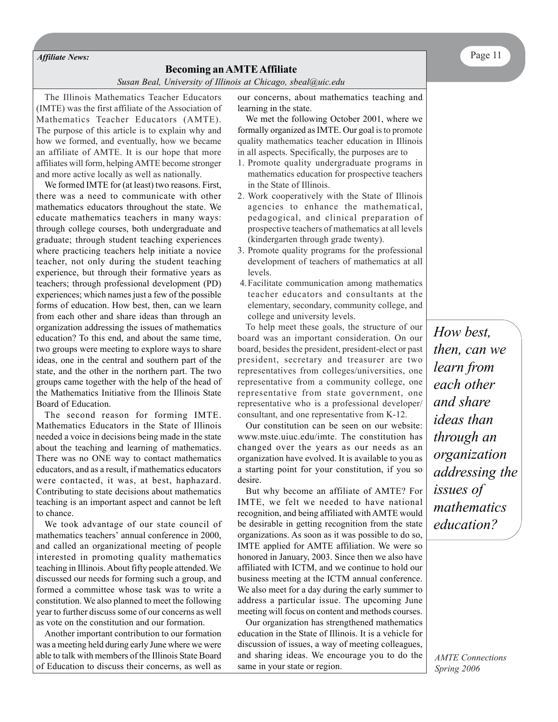*Susan Beal, University of Illinois at Chicago, sbeal@uic.edu*

The Illinois Mathematics Teacher Educators (IMTE) was the first affiliate of the Association of Mathematics Teacher Educators (AMTE). The purpose of this article is to explain why and how we formed, and eventually, how we became an affiliate of AMTE. It is our hope that more affiliates will form, helping AMTE become stronger and more active locally as well as nationally.

We formed IMTE for (at least) two reasons. First, there was a need to communicate with other mathematics educators throughout the state. We educate mathematics teachers in many ways: through college courses, both undergraduate and graduate; through student teaching experiences where practicing teachers help initiate a novice teacher, not only during the student teaching experience, but through their formative years as teachers; through professional development (PD) experiences; which names just a few of the possible forms of education. How best, then, can we learn from each other and share ideas than through an organization addressing the issues of mathematics education? To this end, and about the same time, two groups were meeting to explore ways to share ideas, one in the central and southern part of the state, and the other in the northern part. The two groups came together with the help of the head of the Mathematics Initiative from the Illinois State Board of Education.

The second reason for forming IMTE. Mathematics Educators in the State of Illinois needed a voice in decisions being made in the state about the teaching and learning of mathematics. There was no ONE way to contact mathematics educators, and as a result, if mathematics educators were contacted, it was, at best, haphazard. Contributing to state decisions about mathematics teaching is an important aspect and cannot be left to chance.

We took advantage of our state council of mathematics teachers' annual conference in 2000, and called an organizational meeting of people interested in promoting quality mathematics teaching in Illinois. About fifty people attended. We discussed our needs for forming such a group, and formed a committee whose task was to write a constitution. We also planned to meet the following year to further discuss some of our concerns as well as vote on the constitution and our formation.

Another important contribution to our formation was a meeting held during early June where we were able to talk with members of the Illinois State Board of Education to discuss their concerns, as well as

our concerns, about mathematics teaching and learning in the state.

We met the following October 2001, where we formally organized as IMTE. Our goal is to promote quality mathematics teacher education in Illinois in all aspects. Specifically, the purposes are to

- 1. Promote quality undergraduate programs in mathematics education for prospective teachers in the State of Illinois.
- 2. Work cooperatively with the State of Illinois agencies to enhance the mathematical, pedagogical, and clinical preparation of prospective teachers of mathematics at all levels (kindergarten through grade twenty).
- 3. Promote quality programs for the professional development of teachers of mathematics at all levels.
- 4.Facilitate communication among mathematics teacher educators and consultants at the elementary, secondary, community college, and college and university levels.

To help meet these goals, the structure of our board was an important consideration. On our board, besides the president, president-elect or past president, secretary and treasurer are two representatives from colleges/universities, one representative from a community college, one representative from state government, one representative who is a professional developer/ consultant, and one representative from K-12.

Our constitution can be seen on our website: www.mste.uiuc.edu/imte. The constitution has changed over the years as our needs as an organization have evolved. It is available to you as a starting point for your constitution, if you so desire.

But why become an affiliate of AMTE? For IMTE, we felt we needed to have national recognition, and being affiliated with AMTE would be desirable in getting recognition from the state organizations. As soon as it was possible to do so, IMTE applied for AMTE affiliation. We were so honored in January, 2003. Since then we also have affiliated with ICTM, and we continue to hold our business meeting at the ICTM annual conference. We also meet for a day during the early summer to address a particular issue. The upcoming June meeting will focus on content and methods courses.

Our organization has strengthened mathematics education in the State of Illinois. It is a vehicle for discussion of issues, a way of meeting colleagues, and sharing ideas. We encourage you to do the same in your state or region.

*How best, then, can we learn from each other and share ideas than through an organization addressing the issues of mathematics education?*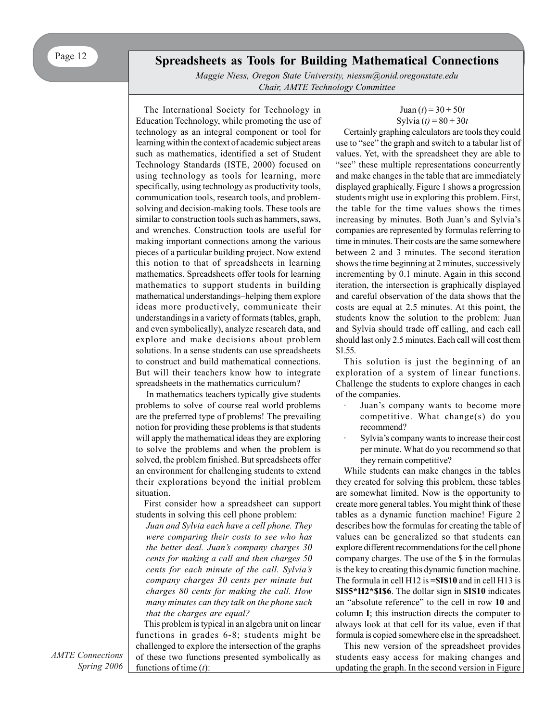## **Spreadsheets as Tools for Building Mathematical Connections**

*Maggie Niess, Oregon State University, niessm@onid.oregonstate.edu Chair, AMTE Technology Committee*

The International Society for Technology in Education Technology, while promoting the use of technology as an integral component or tool for learning within the context of academic subject areas such as mathematics, identified a set of Student Technology Standards (ISTE, 2000) focused on using technology as tools for learning, more specifically, using technology as productivity tools, communication tools, research tools, and problemsolving and decision-making tools. These tools are similar to construction tools such as hammers, saws, and wrenches. Construction tools are useful for making important connections among the various pieces of a particular building project. Now extend this notion to that of spreadsheets in learning mathematics. Spreadsheets offer tools for learning mathematics to support students in building mathematical understandings–helping them explore ideas more productively, communicate their understandings in a variety of formats (tables, graph, and even symbolically), analyze research data, and explore and make decisions about problem solutions. In a sense students can use spreadsheets to construct and build mathematical connections. But will their teachers know how to integrate spreadsheets in the mathematics curriculum?

 In mathematics teachers typically give students problems to solve–of course real world problems are the preferred type of problems! The prevailing notion for providing these problems is that students will apply the mathematical ideas they are exploring to solve the problems and when the problem is solved, the problem finished. But spreadsheets offer an environment for challenging students to extend their explorations beyond the initial problem situation.

First consider how a spreadsheet can support students in solving this cell phone problem:

*Juan and Sylvia each have a cell phone. They were comparing their costs to see who has the better deal. Juan's company charges 30 cents for making a call and then charges 50 cents for each minute of the call. Sylvia's company charges 30 cents per minute but charges 80 cents for making the call. How many minutes can they talk on the phone such that the charges are equal?*

This problem is typical in an algebra unit on linear functions in grades 6-8; students might be challenged to explore the intersection of the graphs of these two functions presented symbolically as functions of time (*t*):

$$
Juan (t) = 30 + 50t
$$
  
Sylvia (t) = 80 + 30t

Certainly graphing calculators are tools they could use to "see" the graph and switch to a tabular list of values. Yet, with the spreadsheet they are able to "see" these multiple representations concurrently and make changes in the table that are immediately displayed graphically. Figure 1 shows a progression students might use in exploring this problem. First, the table for the time values shows the times increasing by minutes. Both Juan's and Sylvia's companies are represented by formulas referring to time in minutes. Their costs are the same somewhere between 2 and 3 minutes. The second iteration shows the time beginning at 2 minutes, successively incrementing by 0.1 minute. Again in this second iteration, the intersection is graphically displayed and careful observation of the data shows that the costs are equal at 2.5 minutes. At this point, the students know the solution to the problem: Juan and Sylvia should trade off calling, and each call should last only 2.5 minutes. Each call will cost them \$1.55.

This solution is just the beginning of an exploration of a system of linear functions. Challenge the students to explore changes in each of the companies.

- Juan's company wants to become more competitive. What change(s) do you recommend?
- Sylvia's company wants to increase their cost per minute. What do you recommend so that they remain competitive?

While students can make changes in the tables they created for solving this problem, these tables are somewhat limited. Now is the opportunity to create more general tables. You might think of these tables as a dynamic function machine! Figure 2 describes how the formulas for creating the table of values can be generalized so that students can explore different recommendations for the cell phone company charges. The use of the \$ in the formulas is the key to creating this dynamic function machine. The formula in cell H12 is **=\$I\$10** and in cell H13 is **\$I\$5\*H2\*\$I\$6**. The dollar sign in **\$I\$10** indicates an "absolute reference" to the cell in row **10** and column **I**; this instruction directs the computer to always look at that cell for its value, even if that formula is copied somewhere else in the spreadsheet.

This new version of the spreadsheet provides students easy access for making changes and updating the graph. In the second version in Figure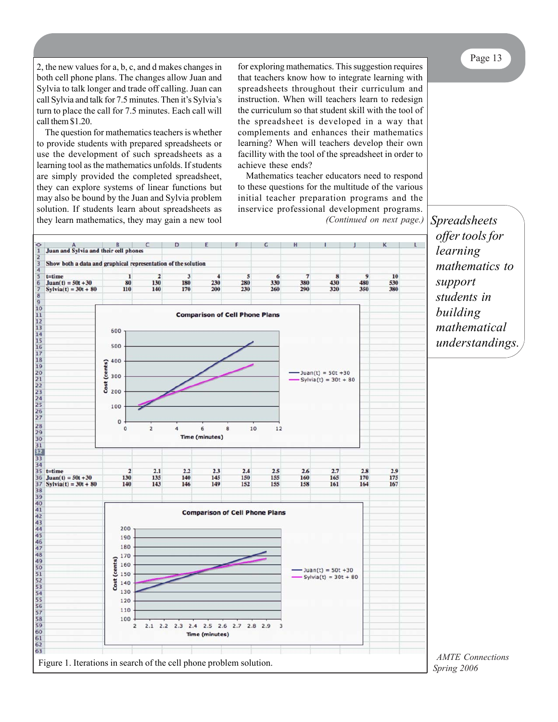Page 13

2, the new values for a, b, c, and d makes changes in both cell phone plans. The changes allow Juan and Sylvia to talk longer and trade off calling. Juan can call Sylvia and talk for 7.5 minutes. Then it's Sylvia's turn to place the call for 7.5 minutes. Each call will call them \$1.20.

The question for mathematics teachers is whether to provide students with prepared spreadsheets or use the development of such spreadsheets as a learning tool as the mathematics unfolds. If students are simply provided the completed spreadsheet, they can explore systems of linear functions but may also be bound by the Juan and Sylvia problem solution. If students learn about spreadsheets as they learn mathematics, they may gain a new tool

for exploring mathematics. This suggestion requires that teachers know how to integrate learning with spreadsheets throughout their curriculum and instruction. When will teachers learn to redesign the curriculum so that student skill with the tool of the spreadsheet is developed in a way that complements and enhances their mathematics learning? When will teachers develop their own facillity with the tool of the spreadsheet in order to achieve these ends?

Mathematics teacher educators need to respond to these questions for the multitude of the various initial teacher preparation programs and the inservice professional development programs. *(Continued on next page.)*



*Spreadsheets offer tools for learning mathematics to support students in building mathematical understandings.*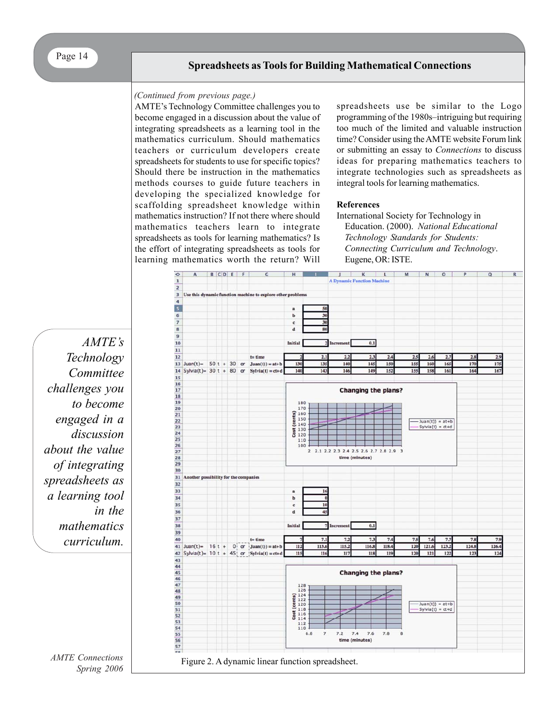#### *(Continued from previous page.)*

AMTE's Technology Committee challenges you to become engaged in a discussion about the value of integrating spreadsheets as a learning tool in the mathematics curriculum. Should mathematics teachers or curriculum developers create spreadsheets for students to use for specific topics? Should there be instruction in the mathematics methods courses to guide future teachers in developing the specialized knowledge for scaffolding spreadsheet knowledge within mathematics instruction? If not there where should mathematics teachers learn to integrate spreadsheets as tools for learning mathematics? Is the effort of integrating spreadsheets as tools for learning mathematics worth the return? Will

spreadsheets use be similar to the Logo programming of the 1980s–intriguing but requiring too much of the limited and valuable instruction time? Consider using the AMTE website Forum link or submitting an essay to *Connections* to discuss ideas for preparing mathematics teachers to integrate technologies such as spreadsheets as integral tools for learning mathematics.

#### **References**

International Society for Technology in Education. (2000). *National Educational Technology Standards for Students: Connecting Curriculum and Technology*. Eugene, OR: ISTE.



*AMTE's Technology Committee challenges you to become engaged in a discussion about the value of integrating spreadsheets as a learning tool in the mathematics curriculum.*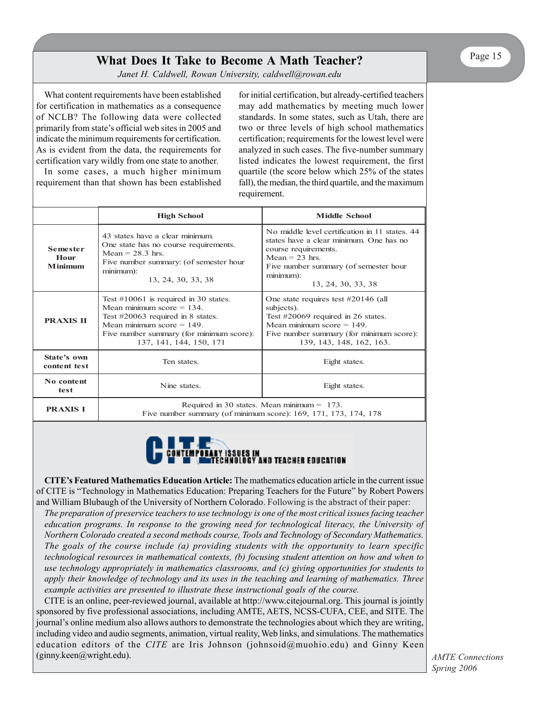# **What Does It Take to Become A Math Teacher?**

*Janet H. Caldwell, Rowan University, caldwell@rowan.edu*

What content requirements have been established for certification in mathematics as a consequence of NCLB? The following data were collected primarily from state's official web sites in 2005 and indicate the minimum requirements for certification. As is evident from the data, the requirements for certification vary wildly from one state to another.

In some cases, a much higher minimum requirement than that shown has been established for initial certification, but already-certified teachers may add mathematics by meeting much lower standards. In some states, such as Utah, there are two or three levels of high school mathematics certification; requirements for the lowest level were analyzed in such cases. The five-number summary listed indicates the lowest requirement, the first quartile (the score below which 25% of the states fall), the median, the third quartile, and the maximum requirement.

|                                    | <b>High School</b>                                                                                                                                                                                                   | <b>Middle School</b>                                                                                                                                                                                                |  |
|------------------------------------|----------------------------------------------------------------------------------------------------------------------------------------------------------------------------------------------------------------------|---------------------------------------------------------------------------------------------------------------------------------------------------------------------------------------------------------------------|--|
| <b>Semester</b><br>Hour<br>Minimum | 43 states have a clear minimum<br>One state has no course requirements.<br>$Mean = 28.3$ hrs.<br>Five number summary: (of semester hour<br>$minimum)$ :<br>13, 24, 30, 33, 38                                        | No middle level certification in 11 states, 44<br>states have a clear minimum. One has no<br>course requirements.<br>$Mean = 23$ hrs<br>Five number summary (of semester hour<br>$minimum)$ :<br>13, 24, 30, 33, 38 |  |
| <b>PRAXIS II</b>                   | Test $\#10061$ is required in 30 states.<br>Mean minimum score $= 134$ .<br>Test #20063 required in 8 states.<br>Mean minimum score $= 149$ .<br>Five number summary (for minimum score):<br>137, 141, 144, 150, 171 | One state requires test $\#20146$ (all<br>subjects).<br>Test $\#20069$ required in 26 states.<br>Mean minimum score $= 149$ .<br>Five number summary (for minimum score):<br>139, 143, 148, 162, 163.               |  |
| State's own<br>content test        | Ten states.<br>Eight states.                                                                                                                                                                                         |                                                                                                                                                                                                                     |  |
| No content<br>Nine states.<br>test |                                                                                                                                                                                                                      | Eight states.                                                                                                                                                                                                       |  |
| <b>PRAXIS I</b>                    | Required in 30 states. Mean minimum $= 173$ .<br>Five number summary (of minimum score): 169, 171, 173, 174, 178                                                                                                     |                                                                                                                                                                                                                     |  |



**CITE's Featured Mathematics Education Article:** The mathematics education article in the current issue of CITE is "Technology in Mathematics Education: Preparing Teachers for the Future" by Robert Powers and William Blubaugh of the University of Northern Colorado. Following is the abstract of their paper:

*The preparation of preservice teachers to use technology is one of the most critical issues facing teacher education programs. In response to the growing need for technological literacy, the University of Northern Colorado created a second methods course, Tools and Technology of Secondary Mathematics. The goals of the course include (a) providing students with the opportunity to learn specific technological resources in mathematical contexts, (b) focusing student attention on how and when to use technology appropriately in mathematics classrooms, and (c) giving opportunities for students to apply their knowledge of technology and its uses in the teaching and learning of mathematics. Three example activities are presented to illustrate these instructional goals of the course.*

CITE is an online, peer-reviewed journal, available at http://www.citejournal.org. This journal is jointly sponsored by five professional associations, including AMTE, AETS, NCSS-CUFA, CEE, and SITE. The journal's online medium also allows authors to demonstrate the technologies about which they are writing, including video and audio segments, animation, virtual reality, Web links, and simulations. The mathematics education editors of the *CITE* are Iris Johnson (johnsoid@muohio.edu) and Ginny Keen (ginny.keen@wright.edu).